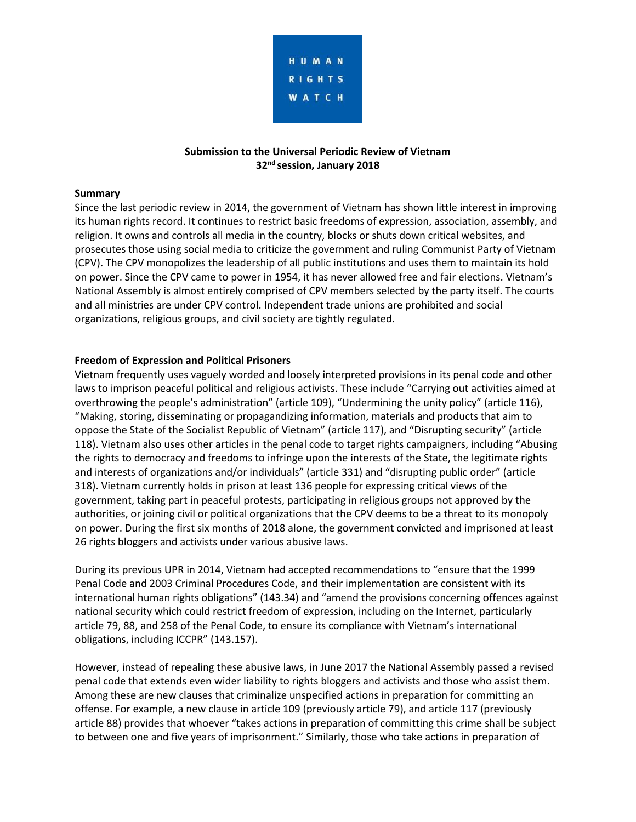

# **Submission to the Universal Periodic Review of Vietnam 32nd session, January 2018**

#### **Summary**

Since the last periodic review in 2014, the government of Vietnam has shown little interest in improving its human rights record. It continues to restrict basic freedoms of expression, association, assembly, and religion. It owns and controls all media in the country, blocks or shuts down critical websites, and prosecutes those using social media to criticize the government and ruling Communist Party of Vietnam (CPV). The CPV monopolizes the leadership of all public institutions and uses them to maintain its hold on power. Since the CPV came to power in 1954, it has never allowed free and fair elections. Vietnam's National Assembly is almost entirely comprised of CPV members selected by the party itself. The courts and all ministries are under CPV control. Independent trade unions are prohibited and social organizations, religious groups, and civil society are tightly regulated.

#### **Freedom of Expression and Political Prisoners**

Vietnam frequently uses vaguely worded and loosely interpreted provisions in its penal code and other laws to imprison peaceful political and religious activists. These include "Carrying out activities aimed at overthrowing the people's administration" (article 109), "Undermining the unity policy" (article 116), "Making, storing, disseminating or propagandizing information, materials and products that aim to oppose the State of the Socialist Republic of Vietnam" (article 117), and "Disrupting security" (article 118). Vietnam also uses other articles in the penal code to target rights campaigners, including "Abusing the rights to democracy and freedoms to infringe upon the interests of the State, the legitimate rights and interests of organizations and/or individuals" (article 331) and "disrupting public order" (article 318). Vietnam currently holds in prison at least 136 people for expressing critical views of the government, taking part in peaceful protests, participating in religious groups not approved by the authorities, or joining civil or political organizations that the CPV deems to be a threat to its monopoly on power. During the first six months of 2018 alone, the government convicted and imprisoned at least 26 rights bloggers and activists under various abusive laws.

During its previous UPR in 2014, Vietnam had accepted recommendations to "ensure that the 1999 Penal Code and 2003 Criminal Procedures Code, and their implementation are consistent with its international human rights obligations" (143.34) and "amend the provisions concerning offences against national security which could restrict freedom of expression, including on the Internet, particularly article 79, 88, and 258 of the Penal Code, to ensure its compliance with Vietnam's international obligations, including ICCPR" (143.157).

However, instead of repealing these abusive laws, in June 2017 the National Assembly passed a revised penal code that extends even wider liability to rights bloggers and activists and those who assist them. Among these are new clauses that criminalize unspecified actions in preparation for committing an offense. For example, a new clause in article 109 (previously article 79), and article 117 (previously article 88) provides that whoever "takes actions in preparation of committing this crime shall be subject to between one and five years of imprisonment." Similarly, those who take actions in preparation of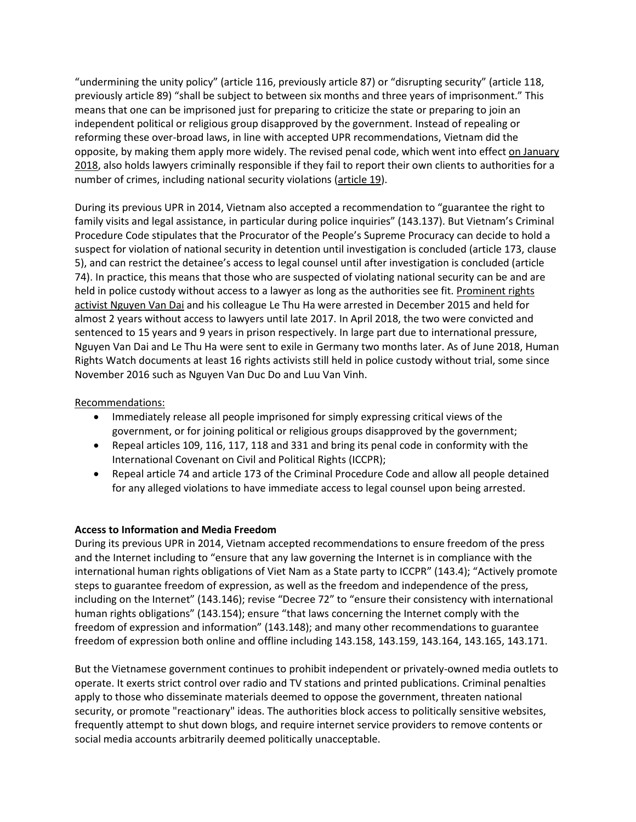"undermining the unity policy" (article 116, previously article 87) or "disrupting security" (article 118, previously article 89) "shall be subject to between six months and three years of imprisonment." This means that one can be imprisoned just for preparing to criticize the state or preparing to join an independent political or religious group disapproved by the government. Instead of repealing or reforming these over-broad laws, in line with accepted UPR recommendations, Vietnam did the opposite, by making them apply more widely. The revised penal code, which went into effect [on January](https://www.hrw.org/world-report/2018/country-chapters/vietnam)  [2018,](https://www.hrw.org/world-report/2018/country-chapters/vietnam) also holds lawyers criminally responsible if they fail to report their own clients to authorities for a number of crimes, including national security violations [\(article 19\)](https://www.hrw.org/news/2017/06/21/vietnam-new-law-threatens-right-defense).

During its previous UPR in 2014, Vietnam also accepted a recommendation to "guarantee the right to family visits and legal assistance, in particular during police inquiries" (143.137). But Vietnam's Criminal Procedure Code stipulates that the Procurator of the People's Supreme Procuracy can decide to hold a suspect for violation of national security in detention until investigation is concluded (article 173, clause 5), and can restrict the detainee's access to legal counsel until after investigation is concluded (article 74). In practice, this means that those who are suspected of violating national security can be and are held in police custody without access to a lawyer as long as the authorities see fit. Prominent rights [activist Nguyen Van Dai](https://www.hrw.org/news/2018/04/04/vietnam-drop-charges-against-human-rights-defenders) and his colleague Le Thu Ha were arrested in December 2015 and held for almost 2 years without access to lawyers until late 2017. In April 2018, the two were convicted and sentenced to 15 years and 9 years in prison respectively. In large part due to international pressure, Nguyen Van Dai and Le Thu Ha were sent to exile in Germany two months later. As of June 2018, Human Rights Watch documents at least 16 rights activists still held in police custody without trial, some since November 2016 such as Nguyen Van Duc Do and Luu Van Vinh.

### Recommendations:

- Immediately release all people imprisoned for simply expressing critical views of the government, or for joining political or religious groups disapproved by the government;
- Repeal articles 109, 116, 117, 118 and 331 and bring its penal code in conformity with the International Covenant on Civil and Political Rights (ICCPR);
- Repeal article 74 and article 173 of the Criminal Procedure Code and allow all people detained for any alleged violations to have immediate access to legal counsel upon being arrested.

### **Access to Information and Media Freedom**

During its previous UPR in 2014, Vietnam accepted recommendations to ensure freedom of the press and the Internet including to "ensure that any law governing the Internet is in compliance with the international human rights obligations of Viet Nam as a State party to ICCPR" (143.4); "Actively promote steps to guarantee freedom of expression, as well as the freedom and independence of the press, including on the Internet" (143.146); revise "Decree 72" to "ensure their consistency with international human rights obligations" (143.154); ensure "that laws concerning the Internet comply with the freedom of expression and information" (143.148); and many other recommendations to guarantee freedom of expression both online and offline including 143.158, 143.159, 143.164, 143.165, 143.171.

But the Vietnamese government continues to prohibit independent or privately-owned media outlets to operate. It exerts strict control over radio and TV stations and printed publications. Criminal penalties apply to those who disseminate materials deemed to oppose the government, threaten national security, or promote "reactionary" ideas. The authorities block access to politically sensitive websites, frequently attempt to shut down blogs, and require internet service providers to remove contents or social media accounts arbitrarily deemed politically unacceptable.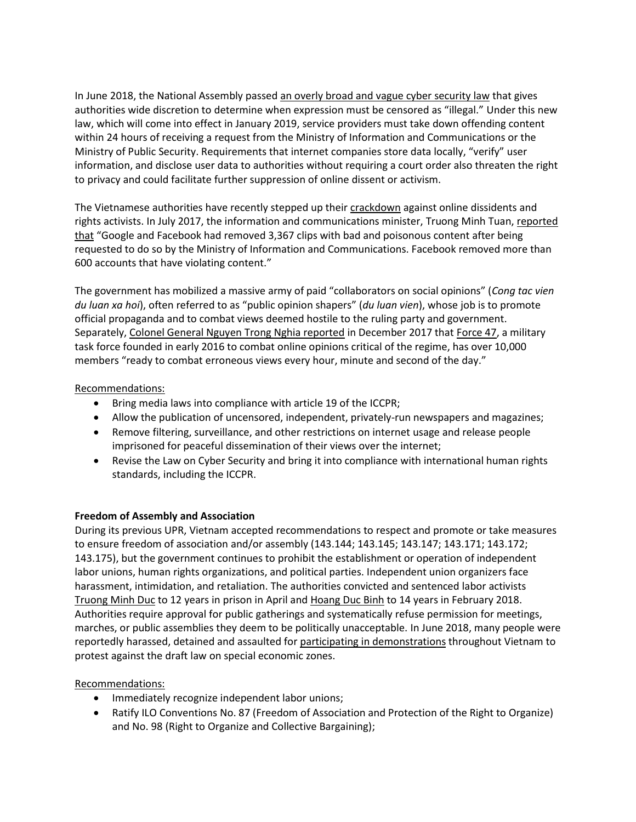In June 2018, the National Assembly passed [an overly broad and vague cyber security law](https://www.hrw.org/news/2018/06/07/vietnam-withdraw-problematic-cyber-security-law) that gives authorities wide discretion to determine when expression must be censored as "illegal." Under this new law, which will come into effect in January 2019, service providers must take down offending content within 24 hours of receiving a request from the Ministry of Information and Communications or the Ministry of Public Security. Requirements that internet companies store data locally, "verify" user information, and disclose user data to authorities without requiring a court order also threaten the right to privacy and could facilitate further suppression of online dissent or activism.

The Vietnamese authorities have recently stepped up their [crackdown](https://www.hrw.org/news/2010/05/26/vietnam-stop-cyber-attacks-against-online-critics) against online dissidents and rights activists. In July 2017, the information and communications minister, Truong Minh Tuan, reported [that](https://baomoi.com/google-va-facebook-tiep-tuc-go-bo-ngan-chan-thong-tin-xau-doc/c/22753780.epi) "Google and Facebook had removed 3,367 clips with bad and poisonous content after being requested to do so by the Ministry of Information and Communications. Facebook removed more than 600 accounts that have violating content."

The government has mobilized a massive army of paid "collaborators on social opinions" (*Cong tac vien du luan xa hoi*), often referred to as "public opinion shapers" (*du luan vien*), whose job is to promote official propaganda and to combat views deemed hostile to the ruling party and government. Separately, [Colonel General Nguyen Trong Nghia reported](https://tuoitre.vn/hon-10-000-nguoi-trong-luc-luong-47-dau-tranh-tren-mang-20171225150602912.htm) in December 2017 that [Force 47,](https://www.wsj.com/articles/introducing-force-47-vietnams-new-weapon-against-online-dissent-1514721606) a military task force founded in early 2016 to combat online opinions critical of the regime, has over 10,000 members "ready to combat erroneous views every hour, minute and second of the day."

## Recommendations:

- Bring media laws into compliance with article 19 of the ICCPR;
- Allow the publication of uncensored, independent, privately-run newspapers and magazines;
- Remove filtering, surveillance, and other restrictions on internet usage and release people imprisoned for peaceful dissemination of their views over the internet;
- Revise the Law on Cyber Security and bring it into compliance with international human rights standards, including the ICCPR.

### **Freedom of Assembly and Association**

During its previous UPR, Vietnam accepted recommendations to respect and promote or take measures to ensure freedom of association and/or assembly (143.144; 143.145; 143.147; 143.171; 143.172; 143.175), but the government continues to prohibit the establishment or operation of independent labor unions, human rights organizations, and political parties. Independent union organizers face harassment, intimidation, and retaliation. The authorities convicted and sentenced labor activists [Truong Minh Duc](https://www.hrw.org/news/2018/04/04/vietnam-drop-charges-against-human-rights-defenders) to 12 years in prison in April an[d Hoang Duc Binh](https://www.hrw.org/news/2018/01/24/vietnam-crackdown-rights-activists) to 14 years in February 2018. Authorities require approval for public gatherings and systematically refuse permission for meetings, marches, or public assemblies they deem to be politically unacceptable. In June 2018, many people were reportedly harassed, detained and assaulted for [participating in demonstrations](https://www.hrw.org/news/2018/06/15/vietnam-investigate-police-response-mass-protests) throughout Vietnam to protest against the draft law on special economic zones.

### Recommendations:

- Immediately recognize independent labor unions;
- Ratify ILO Conventions No. 87 (Freedom of Association and Protection of the Right to Organize) and No. 98 (Right to Organize and Collective Bargaining);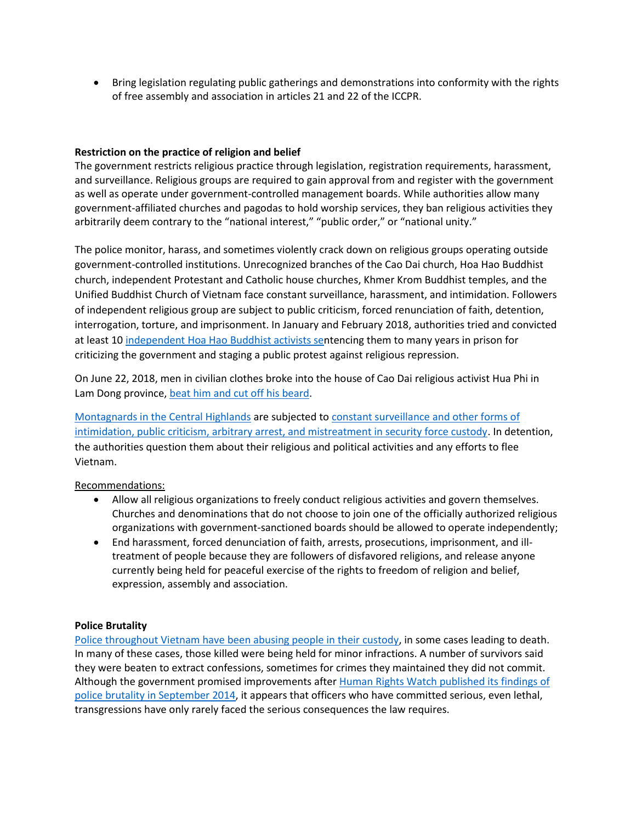• Bring legislation regulating public gatherings and demonstrations into conformity with the rights of free assembly and association in articles 21 and 22 of the ICCPR.

### **Restriction on the practice of religion and belief**

The government restricts religious practice through legislation, registration requirements, harassment, and surveillance. Religious groups are required to gain approval from and register with the government as well as operate under government-controlled management boards. While authorities allow many government-affiliated churches and pagodas to hold worship services, they ban religious activities they arbitrarily deem contrary to the "national interest," "public order," or "national unity."

The police monitor, harass, and sometimes violently crack down on religious groups operating outside government-controlled institutions. Unrecognized branches of the Cao Dai church, Hoa Hao Buddhist church, independent Protestant and Catholic house churches, Khmer Krom Buddhist temples, and the Unified Buddhist Church of Vietnam face constant surveillance, harassment, and intimidation. Followers of independent religious group are subject to public criticism, forced renunciation of faith, detention, interrogation, torture, and imprisonment. In January and February 2018, authorities tried and convicted at least 10 [independent Hoa Hao Buddhist activists sen](https://www.hrw.org/news/2018/02/08/vietnam-end-repression-against-religious-activists)tencing them to many years in prison for criticizing the government and staging a public protest against religious repression.

On June 22, 2018, men in civilian clothes broke into the house of Cao Dai religious activist Hua Phi in Lam Dong province, [beat him and cut off his beard.](https://www.youtube.com/watch?v=RchfkdFgBdc)

[Montagnards in the Central Highlands](https://www.hrw.org/report/2015/06/26/persecuting-evil-way-religion/abuses-against-montagnards-vietnam) are subjected to [constant surveillance and other forms of](https://www.hrw.org/report/2015/06/26/persecuting-evil-way-religion/abuses-against-montagnards-vietnam)  [intimidation, public criticism, arbitrary arrest, and mistreatment in security force custody.](https://www.hrw.org/report/2015/06/26/persecuting-evil-way-religion/abuses-against-montagnards-vietnam) In detention, the authorities question them about their religious and political activities and any efforts to flee Vietnam.

### Recommendations:

- Allow all religious organizations to freely conduct religious activities and govern themselves. Churches and denominations that do not choose to join one of the officially authorized religious organizations with government-sanctioned boards should be allowed to operate independently;
- End harassment, forced denunciation of faith, arrests, prosecutions, imprisonment, and illtreatment of people because they are followers of disfavored religions, and release anyone currently being held for peaceful exercise of the rights to freedom of religion and belief, expression, assembly and association.

### **Police Brutality**

[Police throughout Vietnam have been abusing people in their custody,](https://www.hrw.org/news/2014/09/15/vietnam-pervasive-deaths-injuries-police-custody) in some cases leading to death. In many of these cases, those killed were being held for minor infractions. A number of survivors said they were beaten to extract confessions, sometimes for crimes they maintained they did not commit. Although the government promised improvements afte[r Human Rights Watch published its findings of](https://www.hrw.org/report/2014/09/16/public-insecurity/deaths-custody-and-police-brutality-vietnam)  police brutality [in September 2014,](https://www.hrw.org/report/2014/09/16/public-insecurity/deaths-custody-and-police-brutality-vietnam) it appears that officers who have committed serious, even lethal, transgressions have only rarely faced the serious consequences the law requires.